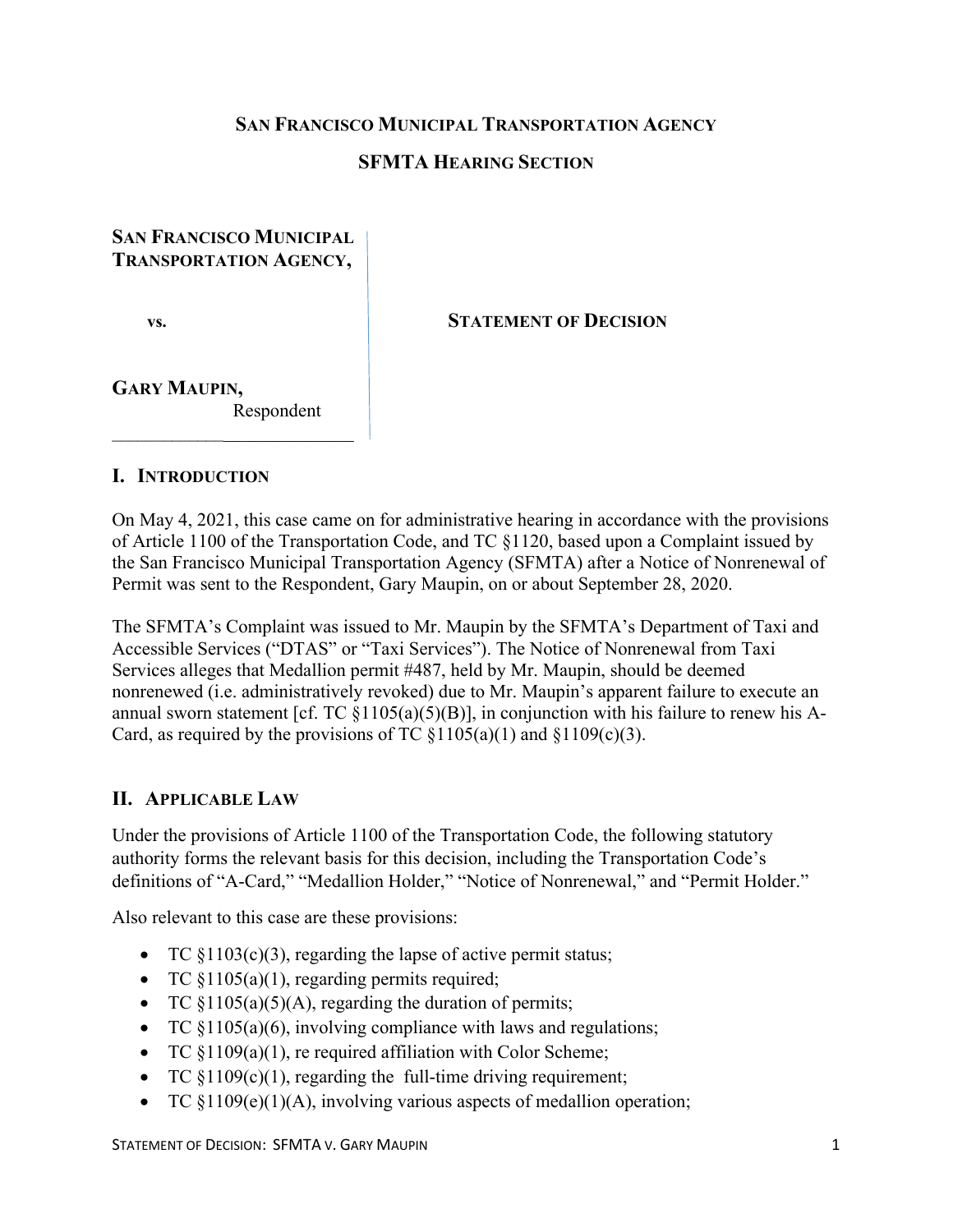### **SAN FRANCISCO MUNICIPAL TRANSPORTATION AGENCY**

### **SFMTA HEARING SECTION**

### **SAN FRANCISCO MUNICIPAL TRANSPORTATION AGENCY,**

 $\overline{\phantom{a}}$  , which is a set of the set of the set of the set of the set of the set of the set of the set of the set of the set of the set of the set of the set of the set of the set of the set of the set of the set of th

**vs. STATEMENT OF DECISION**

# **GARY MAUPIN,**

Respondent

#### **I. INTRODUCTION**

On May 4, 2021, this case came on for administrative hearing in accordance with the provisions of Article 1100 of the Transportation Code, and TC §1120, based upon a Complaint issued by the San Francisco Municipal Transportation Agency (SFMTA) after a Notice of Nonrenewal of Permit was sent to the Respondent, Gary Maupin, on or about September 28, 2020.

The SFMTA's Complaint was issued to Mr. Maupin by the SFMTA's Department of Taxi and Accessible Services ("DTAS" or "Taxi Services"). The Notice of Nonrenewal from Taxi Services alleges that Medallion permit #487, held by Mr. Maupin, should be deemed nonrenewed (i.e. administratively revoked) due to Mr. Maupin's apparent failure to execute an annual sworn statement [cf. TC  $\S1105(a)(5)(B)$ ], in conjunction with his failure to renew his A-Card, as required by the provisions of TC  $\S1105(a)(1)$  and  $\S1109(c)(3)$ .

### **II. APPLICABLE LAW**

Under the provisions of Article 1100 of the Transportation Code, the following statutory authority forms the relevant basis for this decision, including the Transportation Code's definitions of "A-Card," "Medallion Holder," "Notice of Nonrenewal," and "Permit Holder."

Also relevant to this case are these provisions:

- TC  $\S1103(c)(3)$ , regarding the lapse of active permit status;
- TC  $$1105(a)(1)$ , regarding permits required;
- TC  $\{1105(a)(5)(A)$ , regarding the duration of permits;
- TC §1105(a)(6), involving compliance with laws and regulations;
- TC  $\S1109(a)(1)$ , re required affiliation with Color Scheme;
- TC  $\S1109(c)(1)$ , regarding the full-time driving requirement;
- TC  $$1109(e)(1)(A)$ , involving various aspects of medallion operation;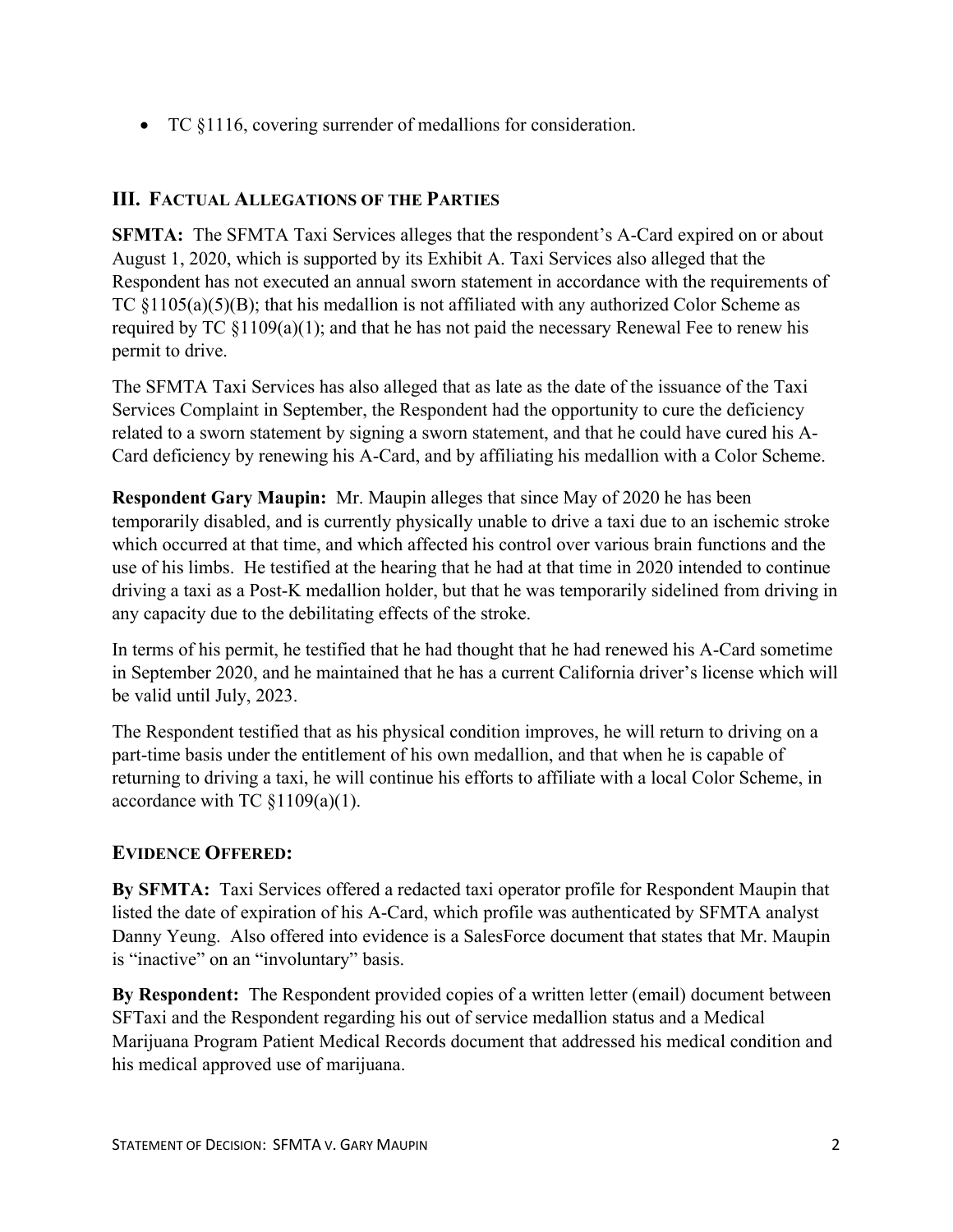• TC §1116, covering surrender of medallions for consideration.

# **III. FACTUAL ALLEGATIONS OF THE PARTIES**

**SFMTA:** The SFMTA Taxi Services alleges that the respondent's A-Card expired on or about August 1, 2020, which is supported by its Exhibit A. Taxi Services also alleged that the Respondent has not executed an annual sworn statement in accordance with the requirements of TC  $\S1105(a)(5)(B)$ ; that his medallion is not affiliated with any authorized Color Scheme as required by TC  $\S1109(a)(1)$ ; and that he has not paid the necessary Renewal Fee to renew his permit to drive.

The SFMTA Taxi Services has also alleged that as late as the date of the issuance of the Taxi Services Complaint in September, the Respondent had the opportunity to cure the deficiency related to a sworn statement by signing a sworn statement, and that he could have cured his A-Card deficiency by renewing his A-Card, and by affiliating his medallion with a Color Scheme.

**Respondent Gary Maupin:** Mr. Maupin alleges that since May of 2020 he has been temporarily disabled, and is currently physically unable to drive a taxi due to an ischemic stroke which occurred at that time, and which affected his control over various brain functions and the use of his limbs. He testified at the hearing that he had at that time in 2020 intended to continue driving a taxi as a Post-K medallion holder, but that he was temporarily sidelined from driving in any capacity due to the debilitating effects of the stroke.

In terms of his permit, he testified that he had thought that he had renewed his A-Card sometime in September 2020, and he maintained that he has a current California driver's license which will be valid until July, 2023.

The Respondent testified that as his physical condition improves, he will return to driving on a part-time basis under the entitlement of his own medallion, and that when he is capable of returning to driving a taxi, he will continue his efforts to affiliate with a local Color Scheme, in accordance with TC §1109(a)(1).

### **EVIDENCE OFFERED:**

**By SFMTA:** Taxi Services offered a redacted taxi operator profile for Respondent Maupin that listed the date of expiration of his A-Card, which profile was authenticated by SFMTA analyst Danny Yeung. Also offered into evidence is a SalesForce document that states that Mr. Maupin is "inactive" on an "involuntary" basis.

**By Respondent:** The Respondent provided copies of a written letter (email) document between SFTaxi and the Respondent regarding his out of service medallion status and a Medical Marijuana Program Patient Medical Records document that addressed his medical condition and his medical approved use of marijuana.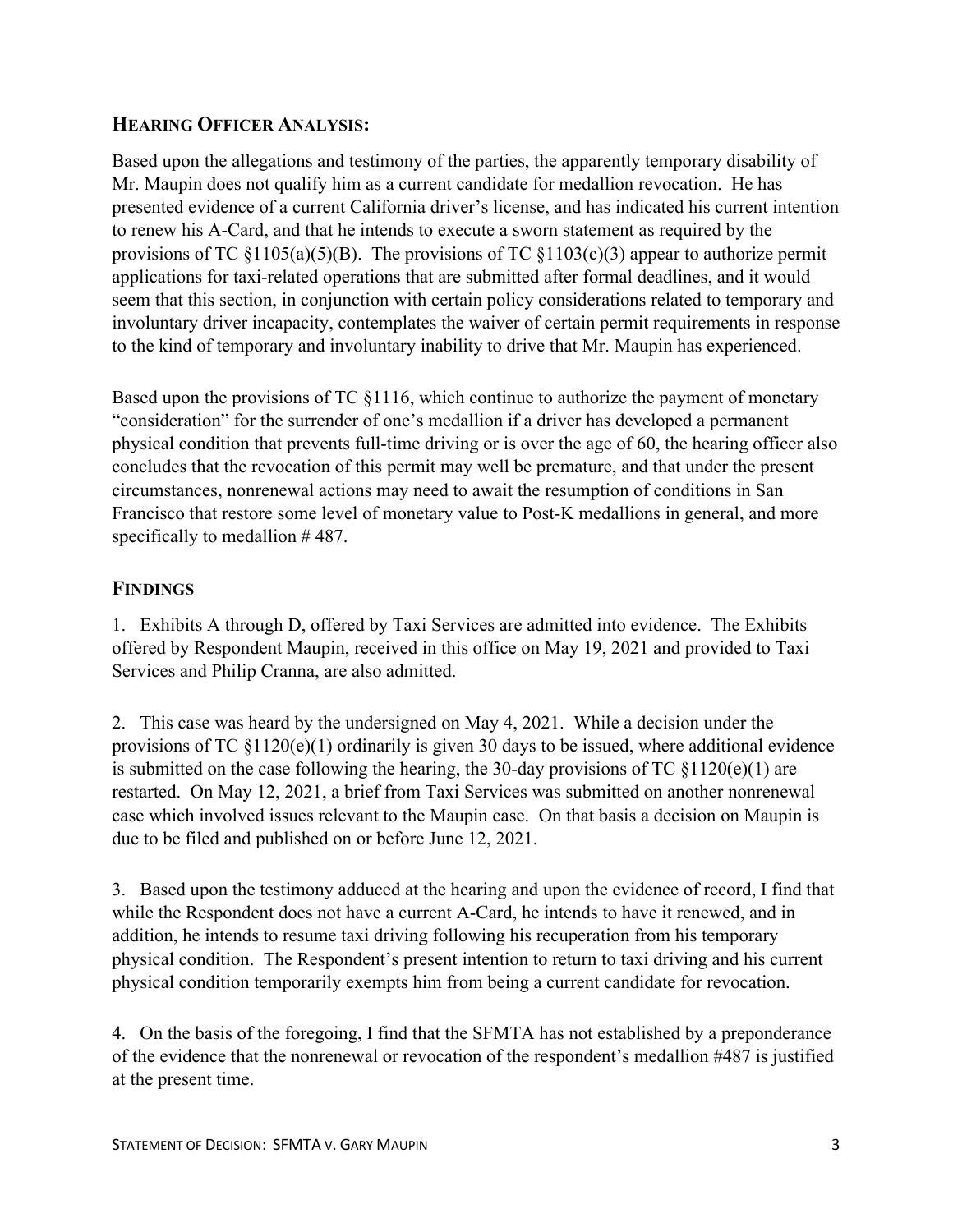### **HEARING OFFICER ANALYSIS:**

Based upon the allegations and testimony of the parties, the apparently temporary disability of Mr. Maupin does not qualify him as a current candidate for medallion revocation. He has presented evidence of a current California driver's license, and has indicated his current intention to renew his A-Card, and that he intends to execute a sworn statement as required by the provisions of TC  $\S1105(a)(5)(B)$ . The provisions of TC  $\S1103(c)(3)$  appear to authorize permit applications for taxi-related operations that are submitted after formal deadlines, and it would seem that this section, in conjunction with certain policy considerations related to temporary and involuntary driver incapacity, contemplates the waiver of certain permit requirements in response to the kind of temporary and involuntary inability to drive that Mr. Maupin has experienced.

Based upon the provisions of TC §1116, which continue to authorize the payment of monetary "consideration" for the surrender of one's medallion if a driver has developed a permanent physical condition that prevents full-time driving or is over the age of 60, the hearing officer also concludes that the revocation of this permit may well be premature, and that under the present circumstances, nonrenewal actions may need to await the resumption of conditions in San Francisco that restore some level of monetary value to Post-K medallions in general, and more specifically to medallion #487.

# **FINDINGS**

1. Exhibits A through D, offered by Taxi Services are admitted into evidence. The Exhibits offered by Respondent Maupin, received in this office on May 19, 2021 and provided to Taxi Services and Philip Cranna, are also admitted.

2. This case was heard by the undersigned on May 4, 2021. While a decision under the provisions of TC  $$1120(e)(1)$  ordinarily is given 30 days to be issued, where additional evidence is submitted on the case following the hearing, the 30-day provisions of TC  $\S1120(e)(1)$  are restarted. On May 12, 2021, a brief from Taxi Services was submitted on another nonrenewal case which involved issues relevant to the Maupin case. On that basis a decision on Maupin is due to be filed and published on or before June 12, 2021.

3. Based upon the testimony adduced at the hearing and upon the evidence of record, I find that while the Respondent does not have a current A-Card, he intends to have it renewed, and in addition, he intends to resume taxi driving following his recuperation from his temporary physical condition. The Respondent's present intention to return to taxi driving and his current physical condition temporarily exempts him from being a current candidate for revocation.

4. On the basis of the foregoing, I find that the SFMTA has not established by a preponderance of the evidence that the nonrenewal or revocation of the respondent's medallion #487 is justified at the present time.